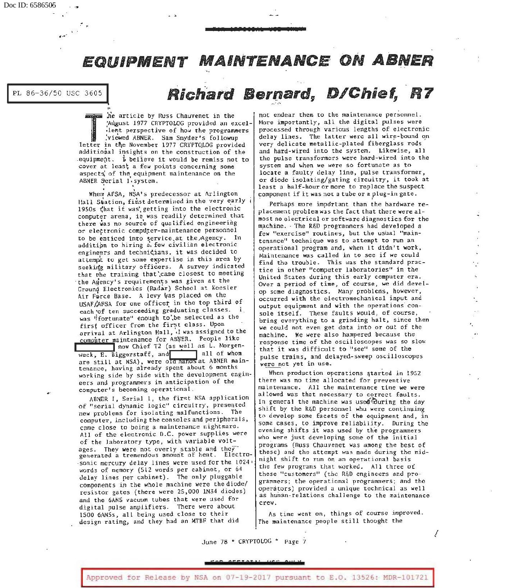.·

•

•... ·

Doc ID: 6586505

## PL 86-36/50 USC 3605<sup>1</sup> **Richard Bernard, D/Chief, R7**

The article by Russ Chauvenet in the 'August 1977 CRYPTOLOG provided an excel-<br>
lent perspective of how the programmers:<br>
viewed ABNER. Sam Snyder's following<br>
letter in the November 1977 CRYPTOLOG provided<br>
editional insi ;AU.gust 1977 CRYPTOLOG provided an excel lent perspective of how the programmers ,viewed ABNER. Sam Snyder's followup additional insights on the construction of the equipment. I believe it would be remiss not to cover at least a few points concerning some aspects of the equipment maintenance on the ABNER Serial 1. system.

When AFSA, NSA's predecessor at Arlington Hall Station, first determined in the very early 1950s (hat it was' getting into the electronic computer arena, it was readily determined that there was no source of qualified engineering or electronic computer-maintenance personnel to be enticed into service,at the/Agency. In addition to hiring a few civilian electronic engineers and technicians, it was decided to attempt to get some expertise in this area by seeking military officers. A survey indicated that the training that ', came closest to meeting the Agency's requirements was given at the Ground Electronics (Radar) School at Keesler Air Force Base. A levy was placed on the USAF/AFSA for one officer in the top third of each of ten succeeding graduating classes. I was •ifortunate" enough to',be selected as the first officer from the first class. Upon arrival at Arlington Hall, ·I was assigned to the

computer maintenance for ABNER. People like<br>I now Chief T2 (as well as L. Morgen-<br>Weck, E. Biggerstaff, and all of whom weck,  $E.$  Biggerstaff, and are still at NSA), were of a hands at ABNER maintenance, having already spent about 6 months working side by side with the development engineers and programmers in anticipation of the computer's becoming operational.

ABNER I, Serial 1, the first NSA application of "serial dynamic logic" circuitry, presented new problems for isolating malfunctions. The computer, including the consoles and peripherals, came close to being a maintenance nightmare. All of the electronic O.C. power supplies were of the laboratory type, with variable voltages. They were not overly stable and they generated a tremendous amount of heat. Electrosonic mercury delay lines were used for the 1024  $\cdot$ words of memory (Sl2 words per cabinet, or 64 delay lines per cabinet). The only pluggable components in the whole machine were thediode/ resistor gates (there were 25,000 1N34 diodes) and the 6ANS vacuum tubes that were used for digital pulse amplifiers. There were about 1500 6ANSs, all being used close to their design rating, and they had an MTBF that did

not endear them to the maintenance personnel. More importantly, all the digital pulses were processed through various lengths of electronic delay lines. The latter were all wire-bound on very delicate metallic-plated fiberglass rods and hard-wired into the system. Likewise, all the pulse transformers were hard-wired into the system and when we were so fortunate as to locate a faulty delay line, pulse transformer, or diode isolating/gating circuitry, it took at least a half-hour or more to replace the suspect component if it was not a tube or a plug-in gate.

Perhaps more important than the hardware replacement problem was the fact that there were almost no electrical or software diagnostics for the machine. · The R&D programmers had developed a few "exercise" routines, but the usual "maintenance" technique was to attempt to run an operational program and, when it didn't work, Maintenance was called in to see if we could find the trouble. This was the standard practice in other "computer laboratories" in the United States during this early computer era. Over a period of time, of course, we did develop some diagnostics. Many problems, however, occurred with the electromechanical input and output equipment and with the operations' console itself. These faults would, of course, bring everything to a grinding halt, since then we could not even get data into or out of the machine. We were also hampered because the response time of the oscilloscopes was so slow that it was difficult to "see" some of the pulse trains, and delayed-sweep oscilloscopes were not yet in use.

When production operations started in 1952 there was no time allocated for preventive maintenance. All the maintenance time we were allowed was that necessary to correct faults. In general the machine was used during the day shift by the RGD personnel whu were continuing to develop some facets of the equipment and, in some cases, to improve reliability. During the evening shifts it was used by the programmers who were just developing some of the initial programs (Russ Chauvenet was among the best of these) and the attempt was made during the midnight shift to run on an operational basis the few programs that worked. All three *oi*  these "customers" (the R&D engineers and programmers; the operational programmers; and the operators) provided a unique technical as well as human-relations challenge to the maintenance crew.

As time went on, things of course improved. The maintenance people still thooght the

I

June 78 \* CRYPTOLOG \* Page 7

**5?9 2EPQ'!f** *w ··* ?:rt!!